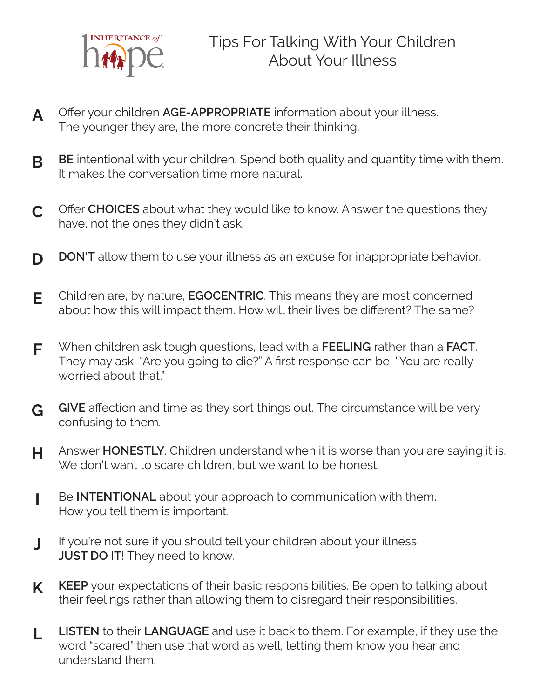

- **A** Offer your children **AGE-APPROPRIATE** information about your illness. The younger they are, the more concrete their thinking.
- **B BE** intentional with your children. Spend both quality and quantity time with them. It makes the conversation time more natural.
- **C** Offer **CHOICES** about what they would like to know. Answer the questions they have, not the ones they didn't ask.
- **D DON'T** allow them to use your illness as an excuse for inappropriate behavior.
- **E** Children are, by nature, **EGOCENTRIC**. This means they are most concerned about how this will impact them. How will their lives be different? The same?
- **F** When children ask tough questions, lead with a **FEELING** rather than a **FACT**. They may ask, "Are you going to die?" A first response can be, "You are really worried about that."
- **G GIVE** affection and time as they sort things out. The circumstance will be very confusing to them.
- **H** Answer **HONESTLY**. Children understand when it is worse than you are saying it is. We don't want to scare children, but we want to be honest.
- **I** Be **INTENTIONAL** about your approach to communication with them. How you tell them is important.
- **J** If you're not sure if you should tell your children about your illness, **JUST DO IT!** They need to know.
- **K KEEP** your expectations of their basic responsibilities. Be open to talking about their feelings rather than allowing them to disregard their responsibilities.
- **L LISTEN** to their **LANGUAGE** and use it back to them. For example, if they use the word "scared" then use that word as well, letting them know you hear and understand them.